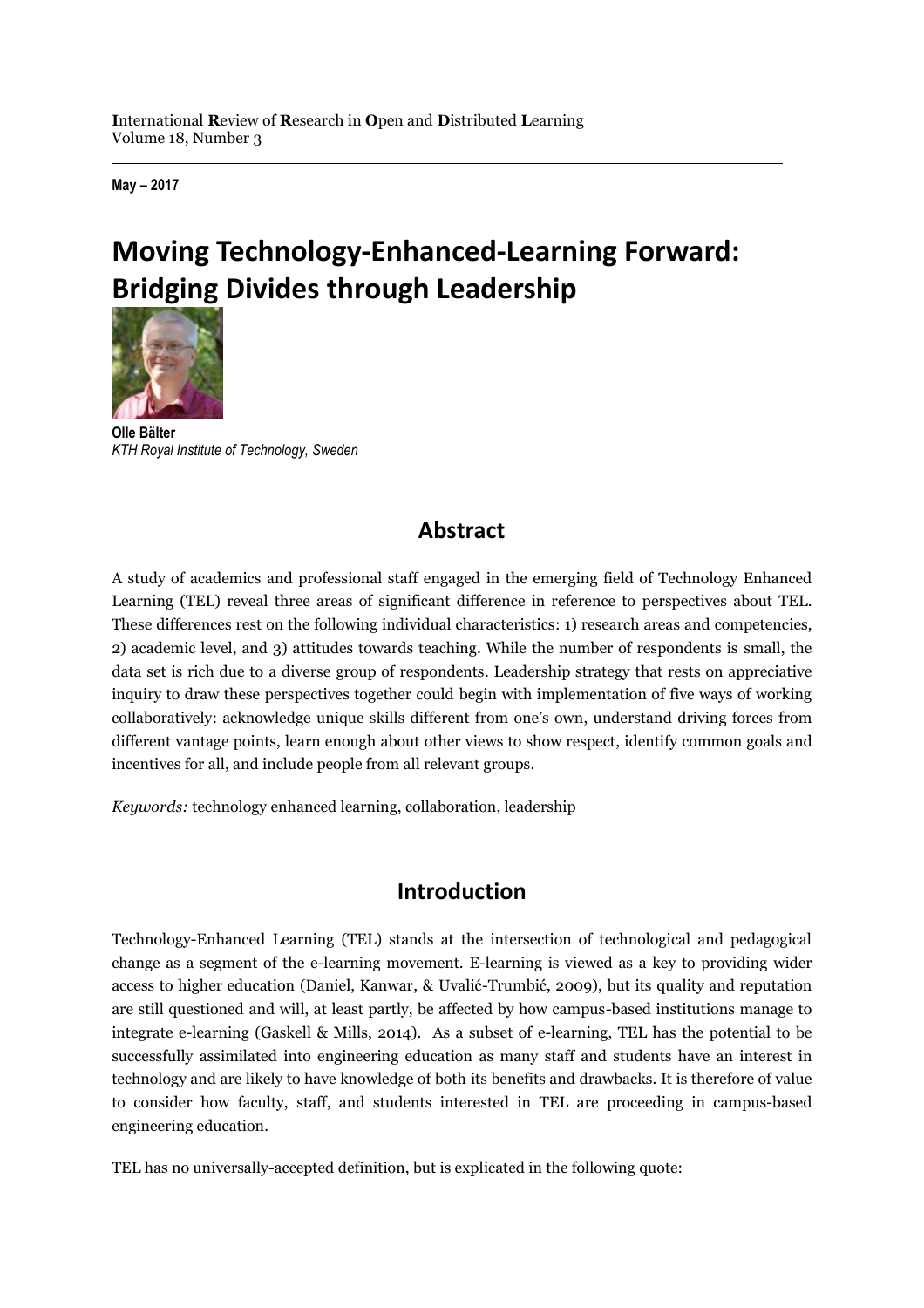**May – 2017**

# **Moving Technology-Enhanced-Learning Forward: Bridging Divides through Leadership**



**Olle Bälter** *KTH Royal Institute of Technology, Sweden*

# **Abstract**

A study of academics and professional staff engaged in the emerging field of Technology Enhanced Learning (TEL) reveal three areas of significant difference in reference to perspectives about TEL. These differences rest on the following individual characteristics: 1) research areas and competencies, 2) academic level, and 3) attitudes towards teaching. While the number of respondents is small, the data set is rich due to a diverse group of respondents. Leadership strategy that rests on appreciative inquiry to draw these perspectives together could begin with implementation of five ways of working collaboratively: acknowledge unique skills different from one's own, understand driving forces from different vantage points, learn enough about other views to show respect, identify common goals and incentives for all, and include people from all relevant groups.

*Keywords:* technology enhanced learning, collaboration, leadership

### **Introduction**

Technology-Enhanced Learning (TEL) stands at the intersection of technological and pedagogical change as a segment of the e-learning movement. E-learning is viewed as a key to providing wider access to higher education (Daniel, Kanwar, & Uvalić-Trumbić, 2009), but its quality and reputation are still questioned and will, at least partly, be affected by how campus-based institutions manage to integrate e-learning (Gaskell & Mills, 2014). As a subset of e-learning, TEL has the potential to be successfully assimilated into engineering education as many staff and students have an interest in technology and are likely to have knowledge of both its benefits and drawbacks. It is therefore of value to consider how faculty, staff, and students interested in TEL are proceeding in campus-based engineering education.

TEL has no universally-accepted definition, but is explicated in the following quote: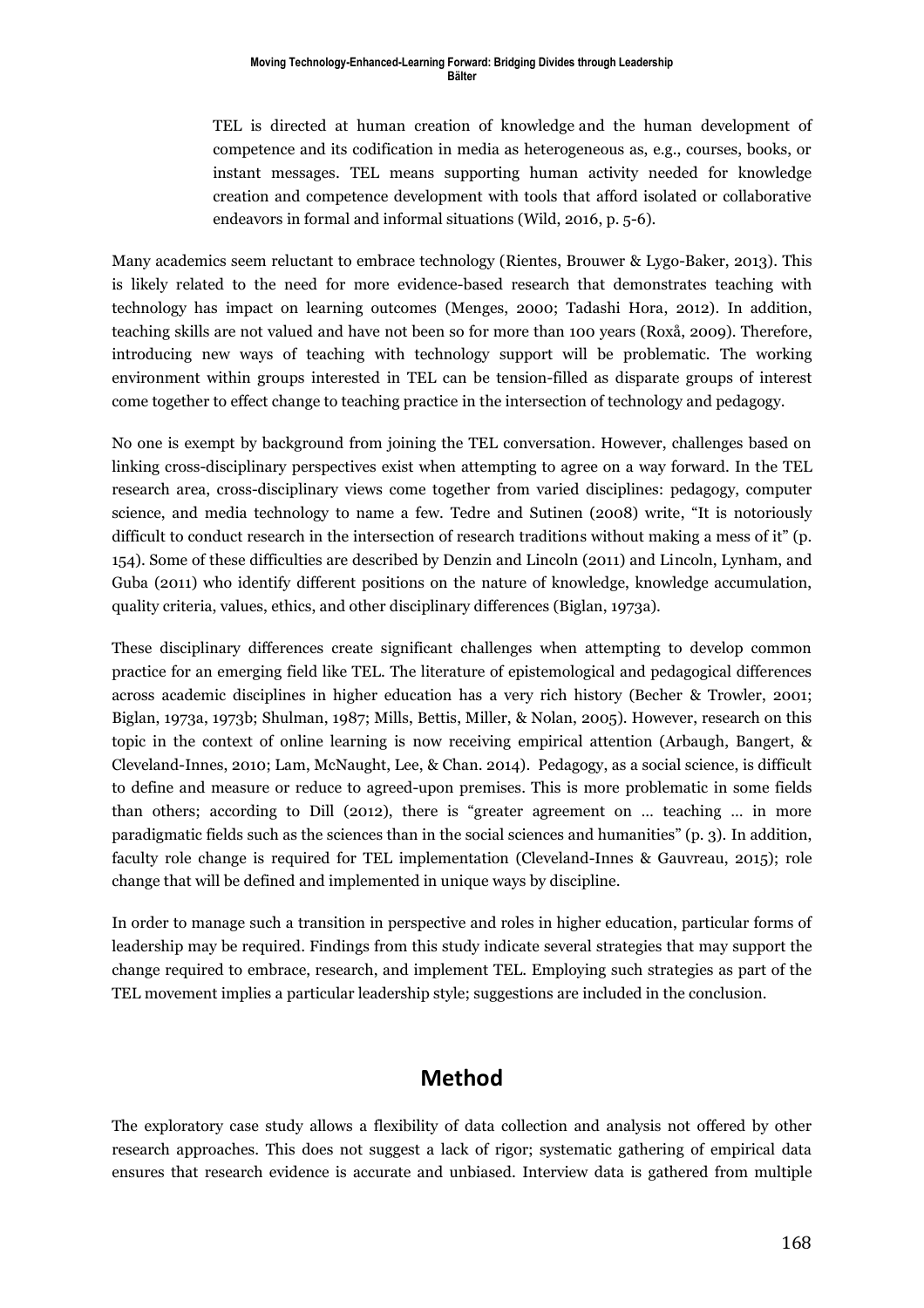TEL is directed at human creation of knowledge and the human development of competence and its codification in media as heterogeneous as, e.g., courses, books, or instant messages. TEL means supporting human activity needed for knowledge creation and competence development with tools that afford isolated or collaborative endeavors in formal and informal situations (Wild, 2016, p. 5-6).

Many academics seem reluctant to embrace technology (Rientes, Brouwer & Lygo-Baker, 2013). This is likely related to the need for more evidence-based research that demonstrates teaching with technology has impact on learning outcomes (Menges, 2000; Tadashi Hora, 2012). In addition, teaching skills are not valued and have not been so for more than 100 years (Roxå, 2009). Therefore, introducing new ways of teaching with technology support will be problematic. The working environment within groups interested in TEL can be tension-filled as disparate groups of interest come together to effect change to teaching practice in the intersection of technology and pedagogy.

No one is exempt by background from joining the TEL conversation. However, challenges based on linking cross-disciplinary perspectives exist when attempting to agree on a way forward. In the TEL research area, cross-disciplinary views come together from varied disciplines: pedagogy, computer science, and media technology to name a few. Tedre and Sutinen (2008) write, "It is notoriously difficult to conduct research in the intersection of research traditions without making a mess of it" (p. 154). Some of these difficulties are described by Denzin and Lincoln (2011) and Lincoln, Lynham, and Guba (2011) who identify different positions on the nature of knowledge, knowledge accumulation, quality criteria, values, ethics, and other disciplinary differences (Biglan, 1973a).

These disciplinary differences create significant challenges when attempting to develop common practice for an emerging field like TEL. The literature of epistemological and pedagogical differences across academic disciplines in higher education has a very rich history (Becher & Trowler, 2001; Biglan, 1973a, 1973b; Shulman, 1987; Mills, Bettis, Miller, & Nolan, 2005). However, research on this topic in the context of online learning is now receiving empirical attention (Arbaugh, Bangert, & Cleveland-Innes, 2010; Lam, McNaught, Lee, & Chan. 2014). Pedagogy, as a social science, is difficult to define and measure or reduce to agreed-upon premises. This is more problematic in some fields than others; according to Dill (2012), there is "greater agreement on … teaching … in more paradigmatic fields such as the sciences than in the social sciences and humanities" (p. 3). In addition, faculty role change is required for TEL implementation (Cleveland-Innes & Gauvreau, 2015); role change that will be defined and implemented in unique ways by discipline.

In order to manage such a transition in perspective and roles in higher education, particular forms of leadership may be required. Findings from this study indicate several strategies that may support the change required to embrace, research, and implement TEL. Employing such strategies as part of the TEL movement implies a particular leadership style; suggestions are included in the conclusion.

### **Method**

The exploratory case study allows a flexibility of data collection and analysis not offered by other research approaches. This does not suggest a lack of rigor; systematic gathering of empirical data ensures that research evidence is accurate and unbiased. Interview data is gathered from multiple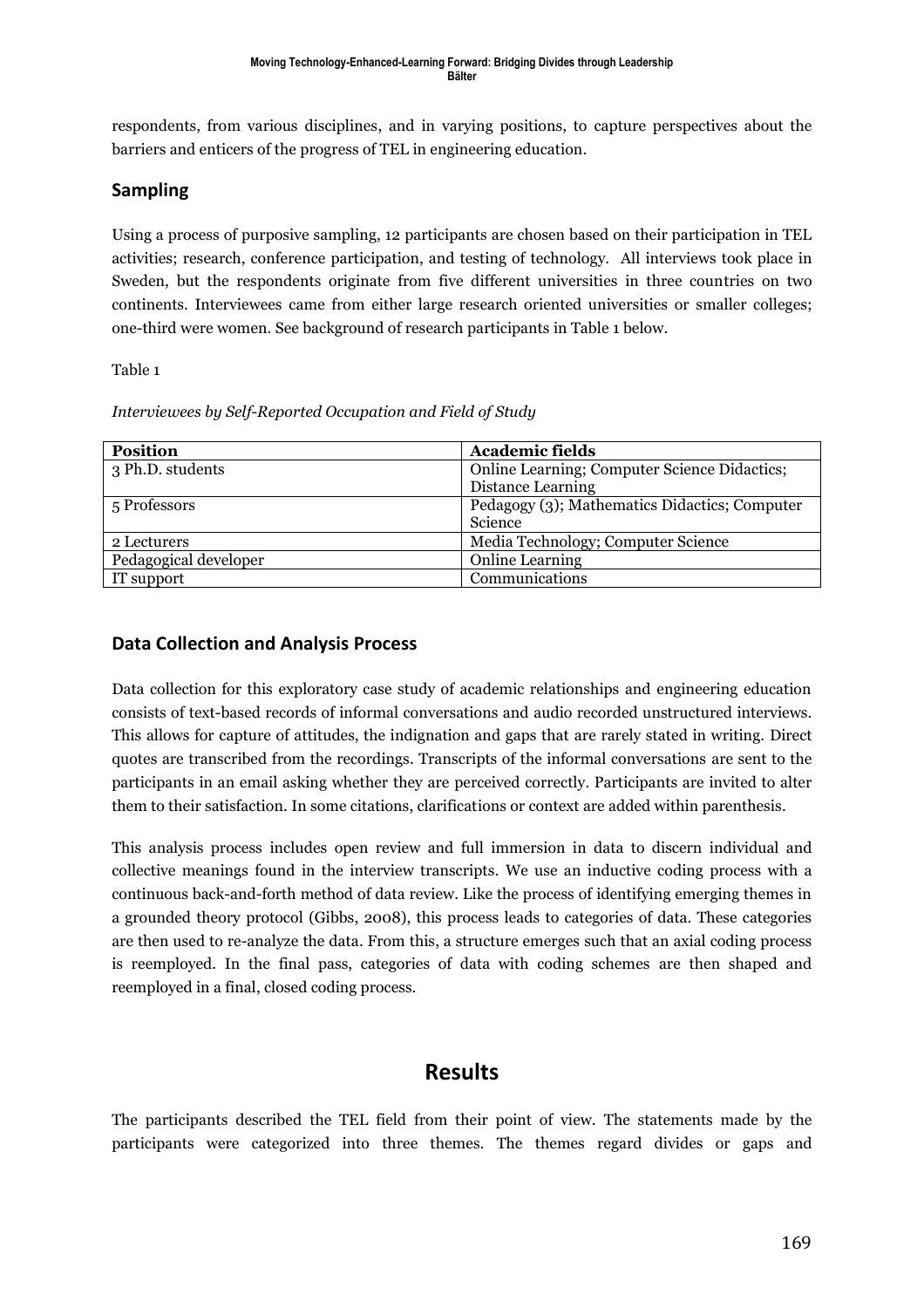respondents, from various disciplines, and in varying positions, to capture perspectives about the barriers and enticers of the progress of TEL in engineering education.

#### **Sampling**

Using a process of purposive sampling, 12 participants are chosen based on their participation in TEL activities; research, conference participation, and testing of technology. All interviews took place in Sweden, but the respondents originate from five different universities in three countries on two continents. Interviewees came from either large research oriented universities or smaller colleges; one-third were women. See background of research participants in Table 1 below.

Table 1

|  | Interviewees by Self-Reported Occupation and Field of Study |  |  |
|--|-------------------------------------------------------------|--|--|
|  |                                                             |  |  |

| <b>Position</b>       | <b>Academic fields</b>                        |
|-----------------------|-----------------------------------------------|
| 3 Ph.D. students      | Online Learning; Computer Science Didactics;  |
|                       | Distance Learning                             |
| 5 Professors          | Pedagogy (3); Mathematics Didactics; Computer |
|                       | Science                                       |
| 2 Lecturers           | Media Technology; Computer Science            |
| Pedagogical developer | <b>Online Learning</b>                        |
| IT support            | Communications                                |

#### **Data Collection and Analysis Process**

Data collection for this exploratory case study of academic relationships and engineering education consists of text-based records of informal conversations and audio recorded unstructured interviews. This allows for capture of attitudes, the indignation and gaps that are rarely stated in writing. Direct quotes are transcribed from the recordings. Transcripts of the informal conversations are sent to the participants in an email asking whether they are perceived correctly. Participants are invited to alter them to their satisfaction. In some citations, clarifications or context are added within parenthesis.

This analysis process includes open review and full immersion in data to discern individual and collective meanings found in the interview transcripts. We use an inductive coding process with a continuous back-and-forth method of data review. Like the process of identifying emerging themes in a grounded theory protocol (Gibbs, 2008), this process leads to categories of data. These categories are then used to re-analyze the data. From this, a structure emerges such that an axial coding process is reemployed. In the final pass, categories of data with coding schemes are then shaped and reemployed in a final, closed coding process.

### **Results**

The participants described the TEL field from their point of view. The statements made by the participants were categorized into three themes. The themes regard divides or gaps and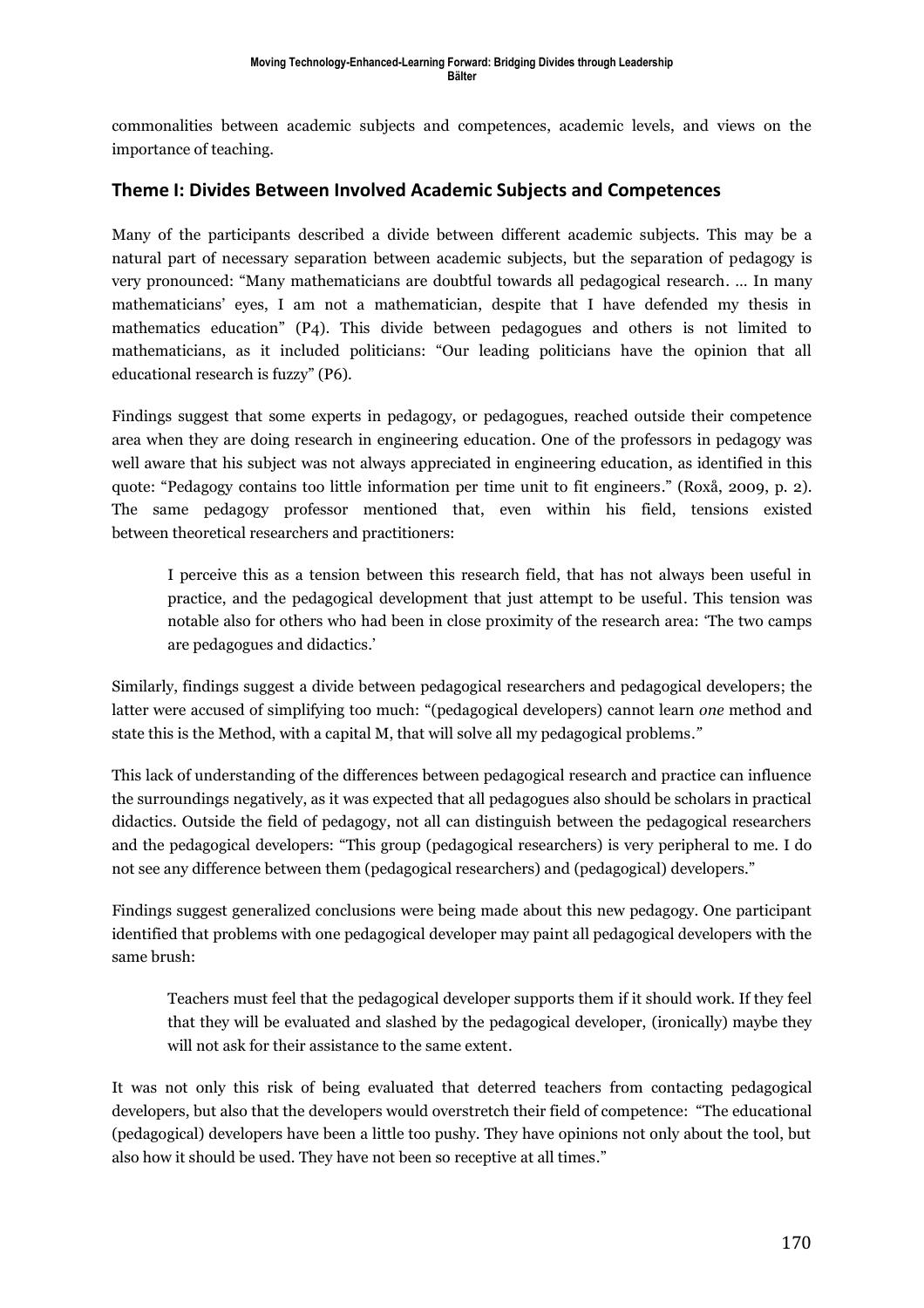commonalities between academic subjects and competences, academic levels, and views on the importance of teaching.

#### **Theme I: Divides Between Involved Academic Subjects and Competences**

Many of the participants described a divide between different academic subjects. This may be a natural part of necessary separation between academic subjects, but the separation of pedagogy is very pronounced: "Many mathematicians are doubtful towards all pedagogical research. … In many mathematicians' eyes, I am not a mathematician, despite that I have defended my thesis in mathematics education" (P4). This divide between pedagogues and others is not limited to mathematicians, as it included politicians: "Our leading politicians have the opinion that all educational research is fuzzy" (P6).

Findings suggest that some experts in pedagogy, or pedagogues, reached outside their competence area when they are doing research in engineering education. One of the professors in pedagogy was well aware that his subject was not always appreciated in engineering education, as identified in this quote: "Pedagogy contains too little information per time unit to fit engineers." (Roxå, 2009, p. 2). The same pedagogy professor mentioned that, even within his field, tensions existed between theoretical researchers and practitioners:

I perceive this as a tension between this research field, that has not always been useful in practice, and the pedagogical development that just attempt to be useful. This tension was notable also for others who had been in close proximity of the research area: 'The two camps are pedagogues and didactics.'

Similarly, findings suggest a divide between pedagogical researchers and pedagogical developers; the latter were accused of simplifying too much: "(pedagogical developers) cannot learn *one* method and state this is the Method, with a capital M, that will solve all my pedagogical problems.*"*

This lack of understanding of the differences between pedagogical research and practice can influence the surroundings negatively, as it was expected that all pedagogues also should be scholars in practical didactics. Outside the field of pedagogy, not all can distinguish between the pedagogical researchers and the pedagogical developers: "This group (pedagogical researchers) is very peripheral to me. I do not see any difference between them (pedagogical researchers) and (pedagogical) developers."

Findings suggest generalized conclusions were being made about this new pedagogy. One participant identified that problems with one pedagogical developer may paint all pedagogical developers with the same brush:

Teachers must feel that the pedagogical developer supports them if it should work. If they feel that they will be evaluated and slashed by the pedagogical developer, (ironically) maybe they will not ask for their assistance to the same extent.

It was not only this risk of being evaluated that deterred teachers from contacting pedagogical developers, but also that the developers would overstretch their field of competence: "The educational (pedagogical) developers have been a little too pushy. They have opinions not only about the tool, but also how it should be used. They have not been so receptive at all times."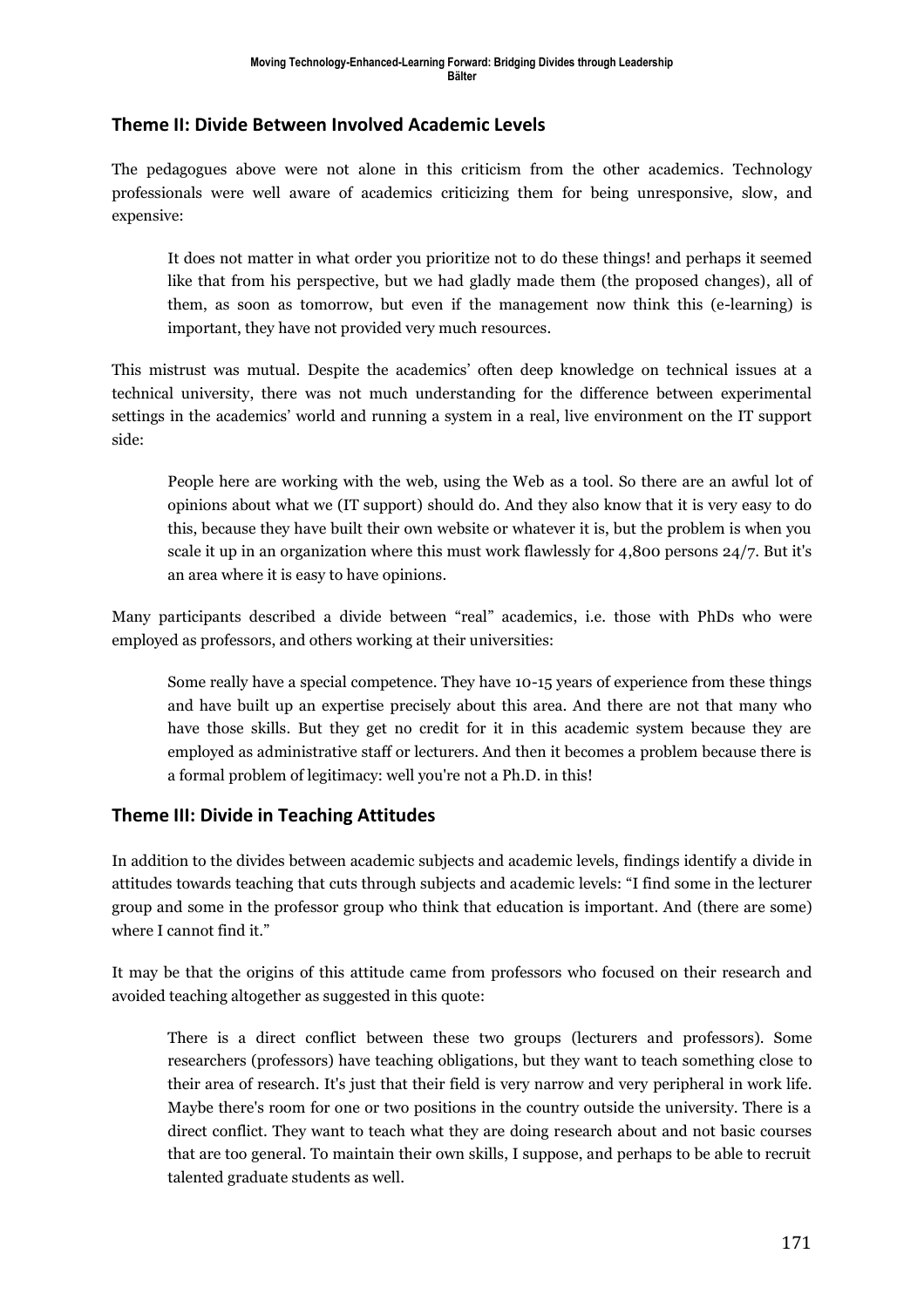#### **Theme II: Divide Between Involved Academic Levels**

The pedagogues above were not alone in this criticism from the other academics. Technology professionals were well aware of academics criticizing them for being unresponsive, slow, and expensive:

It does not matter in what order you prioritize not to do these things! and perhaps it seemed like that from his perspective, but we had gladly made them (the proposed changes), all of them, as soon as tomorrow, but even if the management now think this (e-learning) is important, they have not provided very much resources.

This mistrust was mutual. Despite the academics' often deep knowledge on technical issues at a technical university, there was not much understanding for the difference between experimental settings in the academics' world and running a system in a real, live environment on the IT support side:

People here are working with the web, using the Web as a tool. So there are an awful lot of opinions about what we (IT support) should do. And they also know that it is very easy to do this, because they have built their own website or whatever it is, but the problem is when you scale it up in an organization where this must work flawlessly for 4,800 persons 24/7. But it's an area where it is easy to have opinions.

Many participants described a divide between "real" academics, i.e. those with PhDs who were employed as professors, and others working at their universities:

Some really have a special competence. They have 10-15 years of experience from these things and have built up an expertise precisely about this area. And there are not that many who have those skills. But they get no credit for it in this academic system because they are employed as administrative staff or lecturers. And then it becomes a problem because there is a formal problem of legitimacy: well you're not a Ph.D. in this!

#### **Theme III: Divide in Teaching Attitudes**

In addition to the divides between academic subjects and academic levels, findings identify a divide in attitudes towards teaching that cuts through subjects and academic levels: "I find some in the lecturer group and some in the professor group who think that education is important. And (there are some) where I cannot find it."

It may be that the origins of this attitude came from professors who focused on their research and avoided teaching altogether as suggested in this quote:

There is a direct conflict between these two groups (lecturers and professors). Some researchers (professors) have teaching obligations, but they want to teach something close to their area of research. It's just that their field is very narrow and very peripheral in work life. Maybe there's room for one or two positions in the country outside the university. There is a direct conflict. They want to teach what they are doing research about and not basic courses that are too general. To maintain their own skills, I suppose, and perhaps to be able to recruit talented graduate students as well.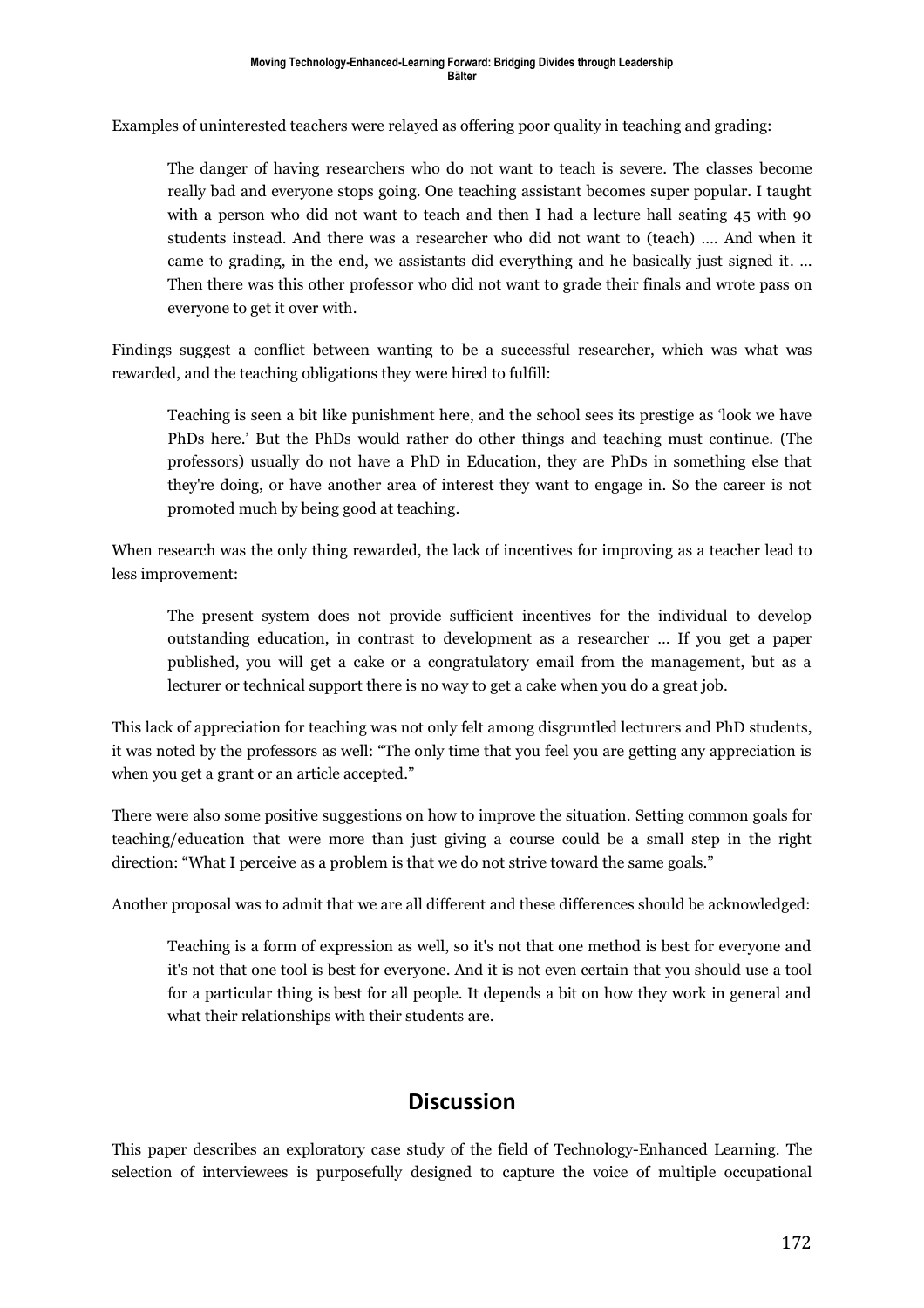Examples of uninterested teachers were relayed as offering poor quality in teaching and grading:

The danger of having researchers who do not want to teach is severe. The classes become really bad and everyone stops going. One teaching assistant becomes super popular. I taught with a person who did not want to teach and then I had a lecture hall seating 45 with 90 students instead. And there was a researcher who did not want to (teach) …. And when it came to grading, in the end, we assistants did everything and he basically just signed it. … Then there was this other professor who did not want to grade their finals and wrote pass on everyone to get it over with.

Findings suggest a conflict between wanting to be a successful researcher, which was what was rewarded, and the teaching obligations they were hired to fulfill:

Teaching is seen a bit like punishment here, and the school sees its prestige as 'look we have PhDs here.' But the PhDs would rather do other things and teaching must continue. (The professors) usually do not have a PhD in Education, they are PhDs in something else that they're doing, or have another area of interest they want to engage in. So the career is not promoted much by being good at teaching.

When research was the only thing rewarded, the lack of incentives for improving as a teacher lead to less improvement:

The present system does not provide sufficient incentives for the individual to develop outstanding education, in contrast to development as a researcher … If you get a paper published, you will get a cake or a congratulatory email from the management, but as a lecturer or technical support there is no way to get a cake when you do a great job.

This lack of appreciation for teaching was not only felt among disgruntled lecturers and PhD students, it was noted by the professors as well: "The only time that you feel you are getting any appreciation is when you get a grant or an article accepted."

There were also some positive suggestions on how to improve the situation. Setting common goals for teaching/education that were more than just giving a course could be a small step in the right direction: "What I perceive as a problem is that we do not strive toward the same goals."

Another proposal was to admit that we are all different and these differences should be acknowledged:

Teaching is a form of expression as well, so it's not that one method is best for everyone and it's not that one tool is best for everyone. And it is not even certain that you should use a tool for a particular thing is best for all people. It depends a bit on how they work in general and what their relationships with their students are.

# **Discussion**

This paper describes an exploratory case study of the field of Technology-Enhanced Learning. The selection of interviewees is purposefully designed to capture the voice of multiple occupational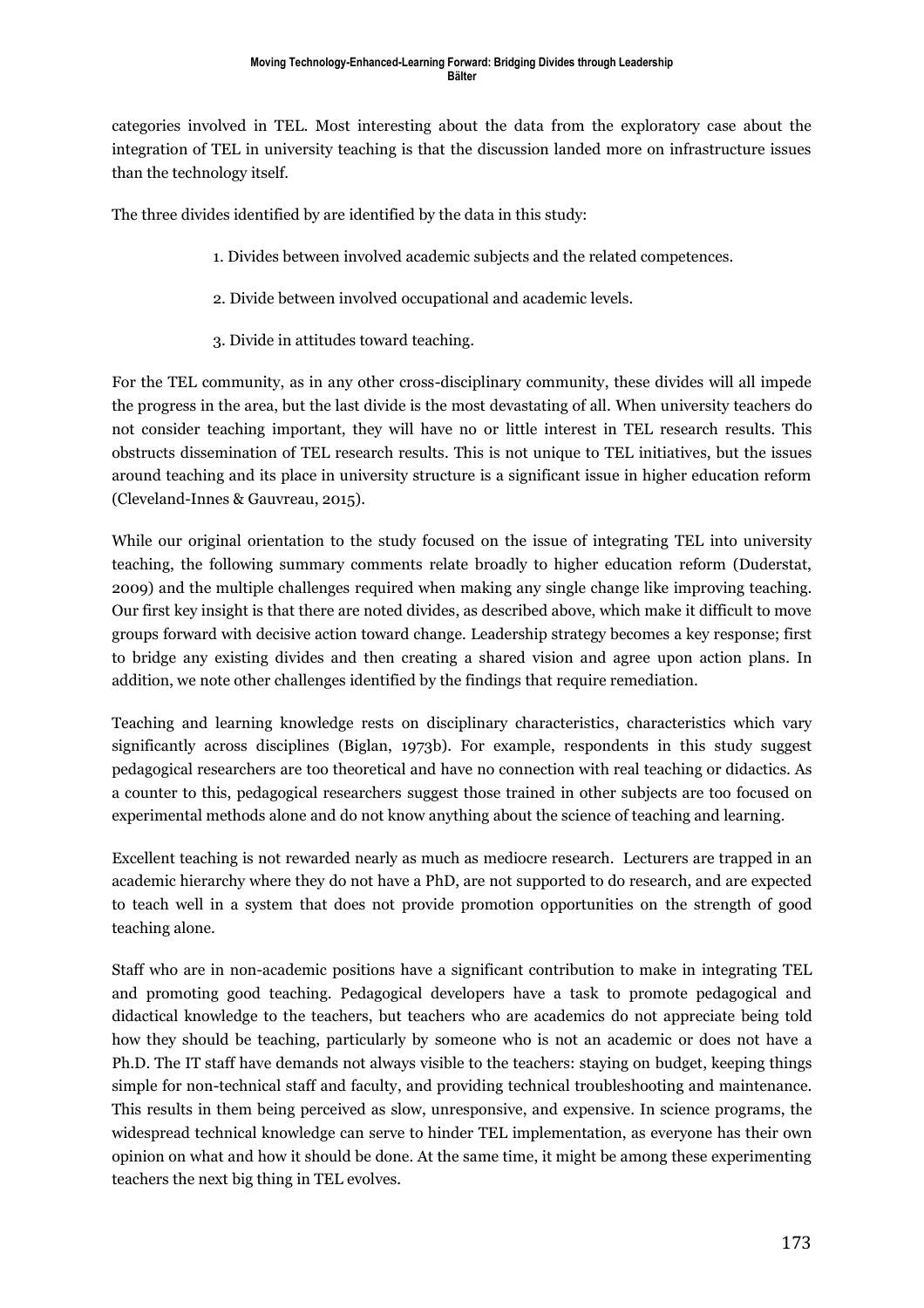categories involved in TEL. Most interesting about the data from the exploratory case about the integration of TEL in university teaching is that the discussion landed more on infrastructure issues than the technology itself.

The three divides identified by are identified by the data in this study:

- 1. Divides between involved academic subjects and the related competences.
- 2. Divide between involved occupational and academic levels.
- 3. Divide in attitudes toward teaching.

For the TEL community, as in any other cross-disciplinary community, these divides will all impede the progress in the area, but the last divide is the most devastating of all. When university teachers do not consider teaching important, they will have no or little interest in TEL research results. This obstructs dissemination of TEL research results. This is not unique to TEL initiatives, but the issues around teaching and its place in university structure is a significant issue in higher education reform (Cleveland-Innes & Gauvreau, 2015).

While our original orientation to the study focused on the issue of integrating TEL into university teaching, the following summary comments relate broadly to higher education reform (Duderstat, 2009) and the multiple challenges required when making any single change like improving teaching. Our first key insight is that there are noted divides, as described above, which make it difficult to move groups forward with decisive action toward change. Leadership strategy becomes a key response; first to bridge any existing divides and then creating a shared vision and agree upon action plans. In addition, we note other challenges identified by the findings that require remediation.

Teaching and learning knowledge rests on disciplinary characteristics, characteristics which vary significantly across disciplines (Biglan, 1973b). For example, respondents in this study suggest pedagogical researchers are too theoretical and have no connection with real teaching or didactics. As a counter to this, pedagogical researchers suggest those trained in other subjects are too focused on experimental methods alone and do not know anything about the science of teaching and learning.

Excellent teaching is not rewarded nearly as much as mediocre research. Lecturers are trapped in an academic hierarchy where they do not have a PhD, are not supported to do research, and are expected to teach well in a system that does not provide promotion opportunities on the strength of good teaching alone.

Staff who are in non-academic positions have a significant contribution to make in integrating TEL and promoting good teaching. Pedagogical developers have a task to promote pedagogical and didactical knowledge to the teachers, but teachers who are academics do not appreciate being told how they should be teaching, particularly by someone who is not an academic or does not have a Ph.D. The IT staff have demands not always visible to the teachers: staying on budget, keeping things simple for non-technical staff and faculty, and providing technical troubleshooting and maintenance. This results in them being perceived as slow, unresponsive, and expensive. In science programs, the widespread technical knowledge can serve to hinder TEL implementation, as everyone has their own opinion on what and how it should be done. At the same time, it might be among these experimenting teachers the next big thing in TEL evolves.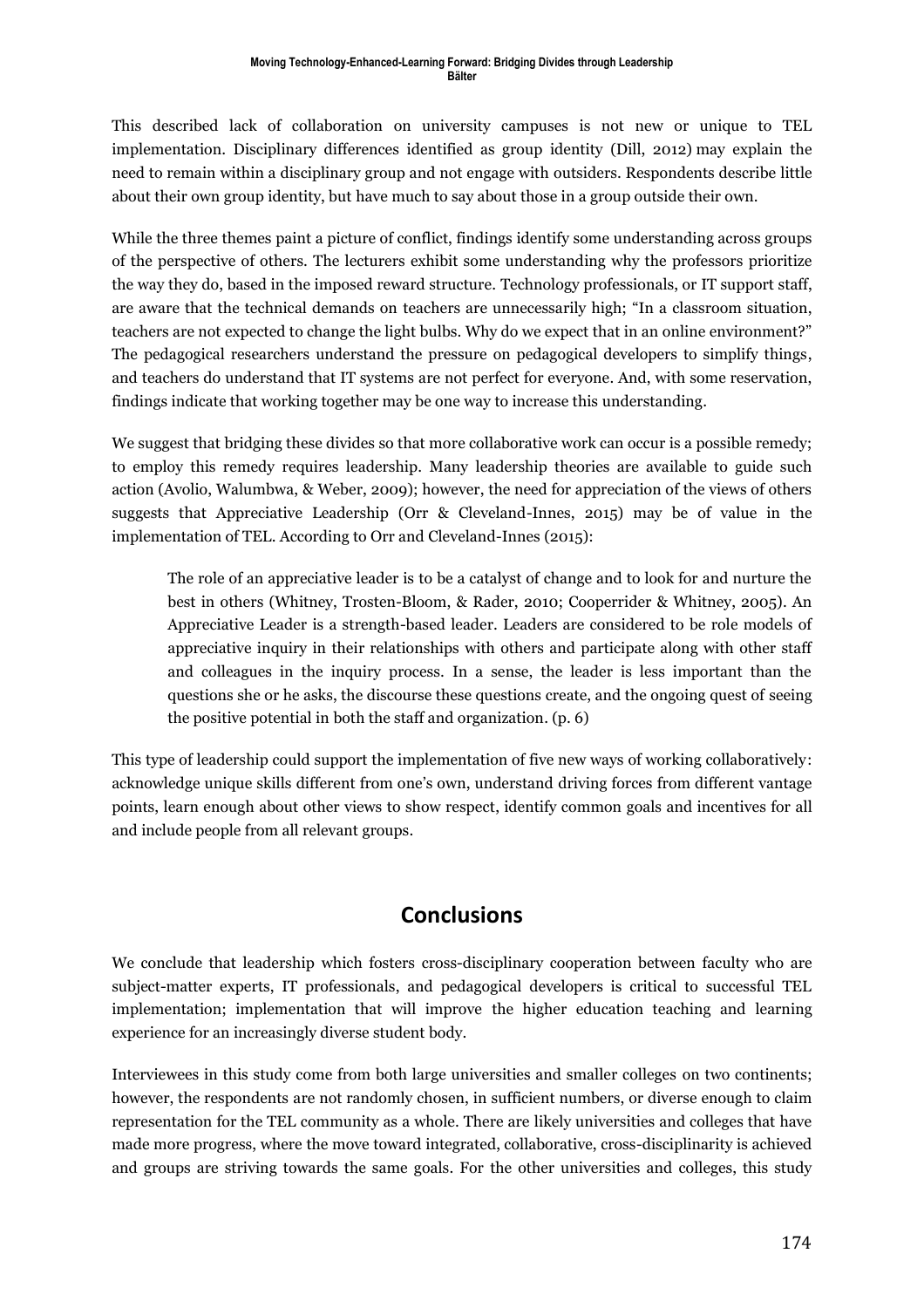This described lack of collaboration on university campuses is not new or unique to TEL implementation. Disciplinary differences identified as group identity (Dill, 2012) may explain the need to remain within a disciplinary group and not engage with outsiders. Respondents describe little about their own group identity, but have much to say about those in a group outside their own.

While the three themes paint a picture of conflict, findings identify some understanding across groups of the perspective of others. The lecturers exhibit some understanding why the professors prioritize the way they do, based in the imposed reward structure. Technology professionals, or IT support staff, are aware that the technical demands on teachers are unnecessarily high; "In a classroom situation, teachers are not expected to change the light bulbs. Why do we expect that in an online environment?" The pedagogical researchers understand the pressure on pedagogical developers to simplify things, and teachers do understand that IT systems are not perfect for everyone. And, with some reservation, findings indicate that working together may be one way to increase this understanding.

We suggest that bridging these divides so that more collaborative work can occur is a possible remedy; to employ this remedy requires leadership. Many leadership theories are available to guide such action (Avolio, Walumbwa, & Weber, 2009); however, the need for appreciation of the views of others suggests that Appreciative Leadership (Orr & Cleveland-Innes, 2015) may be of value in the implementation of TEL. According to Orr and Cleveland-Innes (2015):

The role of an appreciative leader is to be a catalyst of change and to look for and nurture the best in others (Whitney, Trosten-Bloom, & Rader, 2010; Cooperrider & Whitney, 2005). An Appreciative Leader is a strength-based leader. Leaders are considered to be role models of appreciative inquiry in their relationships with others and participate along with other staff and colleagues in the inquiry process. In a sense, the leader is less important than the questions she or he asks, the discourse these questions create, and the ongoing quest of seeing the positive potential in both the staff and organization. (p. 6)

This type of leadership could support the implementation of five new ways of working collaboratively: acknowledge unique skills different from one's own, understand driving forces from different vantage points, learn enough about other views to show respect, identify common goals and incentives for all and include people from all relevant groups.

# **Conclusions**

We conclude that leadership which fosters cross-disciplinary cooperation between faculty who are subject-matter experts, IT professionals, and pedagogical developers is critical to successful TEL implementation; implementation that will improve the higher education teaching and learning experience for an increasingly diverse student body.

Interviewees in this study come from both large universities and smaller colleges on two continents; however, the respondents are not randomly chosen, in sufficient numbers, or diverse enough to claim representation for the TEL community as a whole. There are likely universities and colleges that have made more progress, where the move toward integrated, collaborative, cross-disciplinarity is achieved and groups are striving towards the same goals. For the other universities and colleges, this study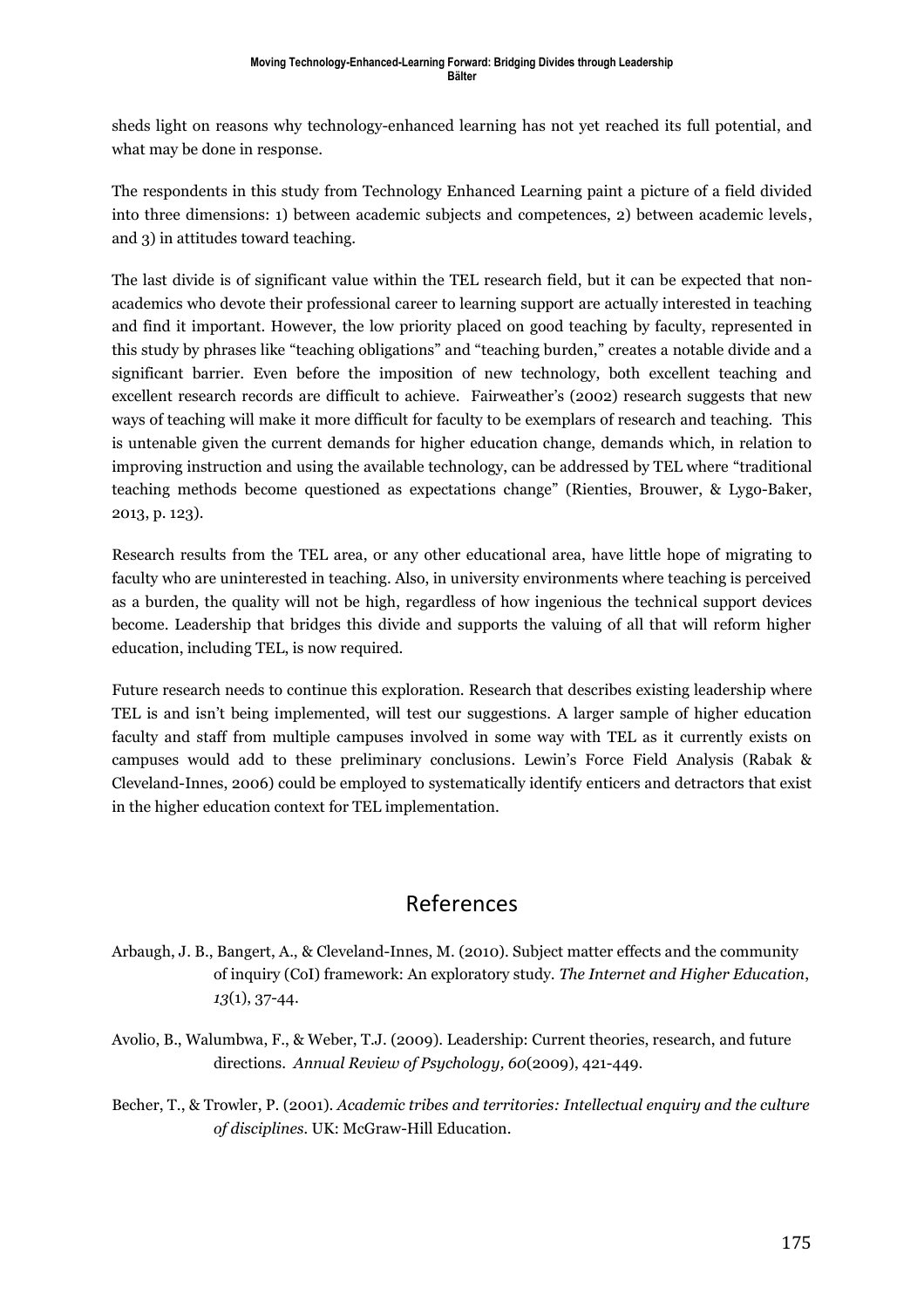sheds light on reasons why technology-enhanced learning has not yet reached its full potential, and what may be done in response.

The respondents in this study from Technology Enhanced Learning paint a picture of a field divided into three dimensions: 1) between academic subjects and competences, 2) between academic levels, and 3) in attitudes toward teaching.

The last divide is of significant value within the TEL research field, but it can be expected that nonacademics who devote their professional career to learning support are actually interested in teaching and find it important. However, the low priority placed on good teaching by faculty, represented in this study by phrases like "teaching obligations" and "teaching burden," creates a notable divide and a significant barrier. Even before the imposition of new technology, both excellent teaching and excellent research records are difficult to achieve. Fairweather's (2002) research suggests that new ways of teaching will make it more difficult for faculty to be exemplars of research and teaching. This is untenable given the current demands for higher education change, demands which, in relation to improving instruction and using the available technology, can be addressed by TEL where "traditional teaching methods become questioned as expectations change" (Rienties, Brouwer, & Lygo-Baker, 2013, p. 123).

Research results from the TEL area, or any other educational area, have little hope of migrating to faculty who are uninterested in teaching. Also, in university environments where teaching is perceived as a burden, the quality will not be high, regardless of how ingenious the technical support devices become. Leadership that bridges this divide and supports the valuing of all that will reform higher education, including TEL, is now required.

Future research needs to continue this exploration. Research that describes existing leadership where TEL is and isn't being implemented, will test our suggestions. A larger sample of higher education faculty and staff from multiple campuses involved in some way with TEL as it currently exists on campuses would add to these preliminary conclusions. Lewin's Force Field Analysis (Rabak & Cleveland-Innes, 2006) could be employed to systematically identify enticers and detractors that exist in the higher education context for TEL implementation.

# References

- Arbaugh, J. B., Bangert, A., & Cleveland-Innes, M. (2010). Subject matter effects and the community of inquiry (CoI) framework: An exploratory study. *The Internet and Higher Education*, *13*(1), 37-44.
- Avolio, B., Walumbwa, F., & Weber, T.J. (2009). Leadership: Current theories, research, and future directions. *Annual Review of Psychology, 60*(2009), 421-449.
- Becher, T., & Trowler, P. (2001). *Academic tribes and territories: Intellectual enquiry and the culture of disciplines.* UK: McGraw-Hill Education.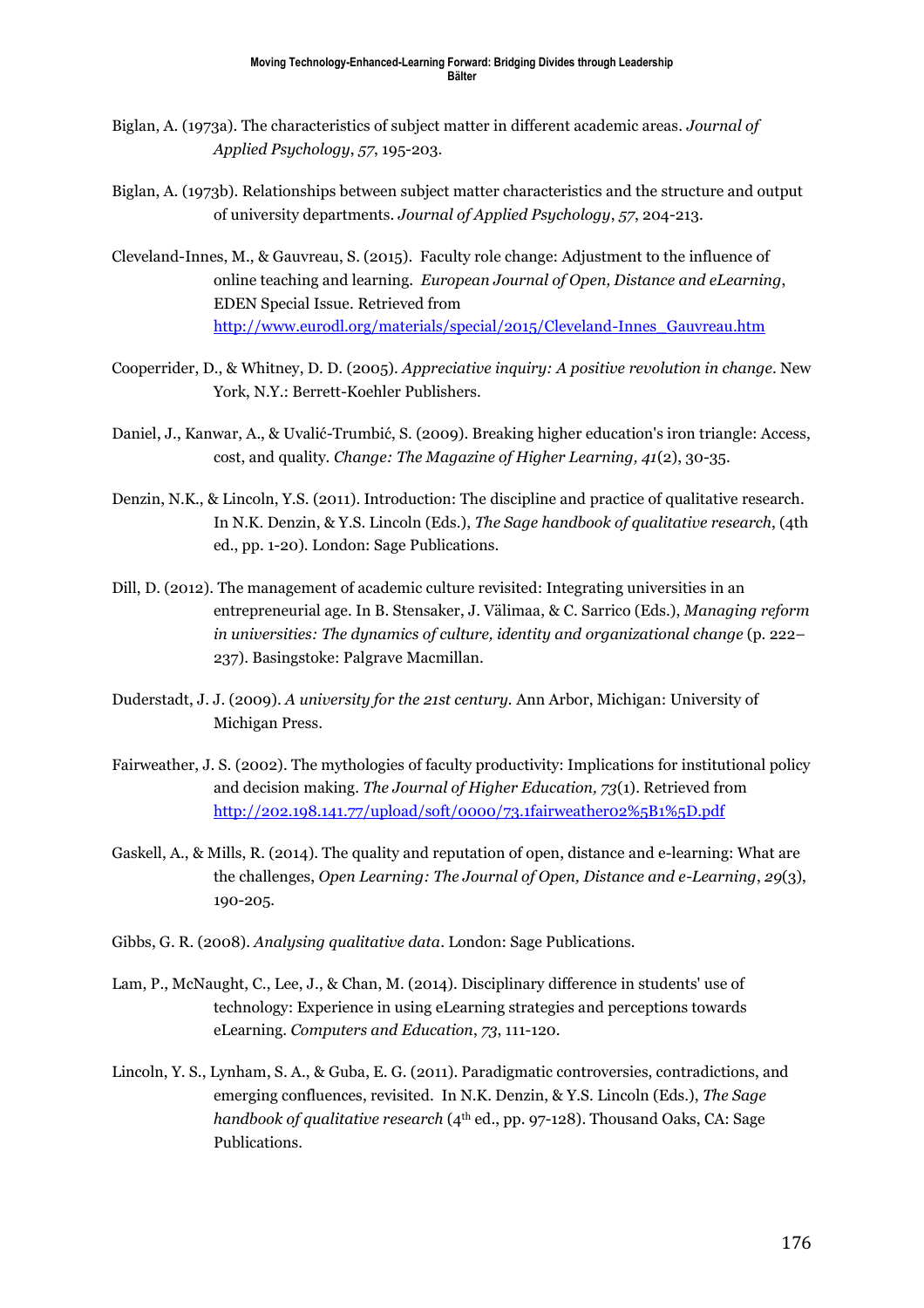- Biglan, A. (1973a). The characteristics of subject matter in different academic areas. *Journal of Applied Psychology*, *57*, 195-203.
- Biglan, A. (1973b). Relationships between subject matter characteristics and the structure and output of university departments. *Journal of Applied Psychology*, *57*, 204-213.
- Cleveland-Innes, M., & Gauvreau, S. (2015). Faculty role change: Adjustment to the influence of online teaching and learning. *European Journal of Open, Distance and eLearning*, EDEN Special Issue. Retrieved from [http://www.eurodl.org/materials/special/2015/Cleveland-Innes\\_Gauvreau.htm](http://www.eurodl.org/materials/special/2015/Cleveland-Innes_Gauvreau.htm)
- Cooperrider, D., & Whitney, D. D. (2005). *Appreciative inquiry: A positive revolution in change*. New York, N.Y.: Berrett-Koehler Publishers.
- Daniel, J., Kanwar, A., & Uvalić-Trumbić, S. (2009). Breaking higher education's iron triangle: Access, cost, and quality. *Change: The Magazine of Higher Learning, 41*(2), 30-35.
- Denzin, N.K., & Lincoln, Y.S. (2011). Introduction: The discipline and practice of qualitative research. In N.K. Denzin, & Y.S. Lincoln (Eds.), *The Sage handbook of qualitative research*, (4th ed., pp. 1-20). London: Sage Publications.
- Dill, D. (2012). The management of academic culture revisited: Integrating universities in an entrepreneurial age. In B. Stensaker, J. Välimaa, & C. Sarrico (Eds.), *Managing reform in universities: The dynamics of culture, identity and organizational change* (p. 222– 237). Basingstoke: Palgrave Macmillan.
- Duderstadt, J. J. (2009). *A university for the 21st century.* Ann Arbor, Michigan: University of Michigan Press.
- Fairweather, J. S. (2002). The mythologies of faculty productivity: Implications for institutional policy and decision making. *The Journal of Higher Education, 73*(1). Retrieved from <http://202.198.141.77/upload/soft/0000/73.1fairweather02%5B1%5D.pdf>
- Gaskell, A., & Mills, R. (2014). The quality and reputation of open, distance and e-learning: What are the challenges, *Open Learning: The Journal of Open, Distance and e-Learning*, *29*(3), 190-205.
- Gibbs, G. R. (2008). *Analysing qualitative data*. London: Sage Publications.
- Lam, P., McNaught, C., Lee, J., & Chan, M. (2014). Disciplinary difference in students' use of technology: Experience in using eLearning strategies and perceptions towards eLearning. *Computers and Education*, *73*, 111-120.
- Lincoln, Y. S., Lynham, S. A., & Guba, E. G. (2011). Paradigmatic controversies, contradictions, and emerging confluences, revisited. In N.K. Denzin, & Y.S. Lincoln (Eds.), *The Sage handbook of qualitative research* (4<sup>th</sup> ed., pp. 97-128). Thousand Oaks, CA: Sage Publications.